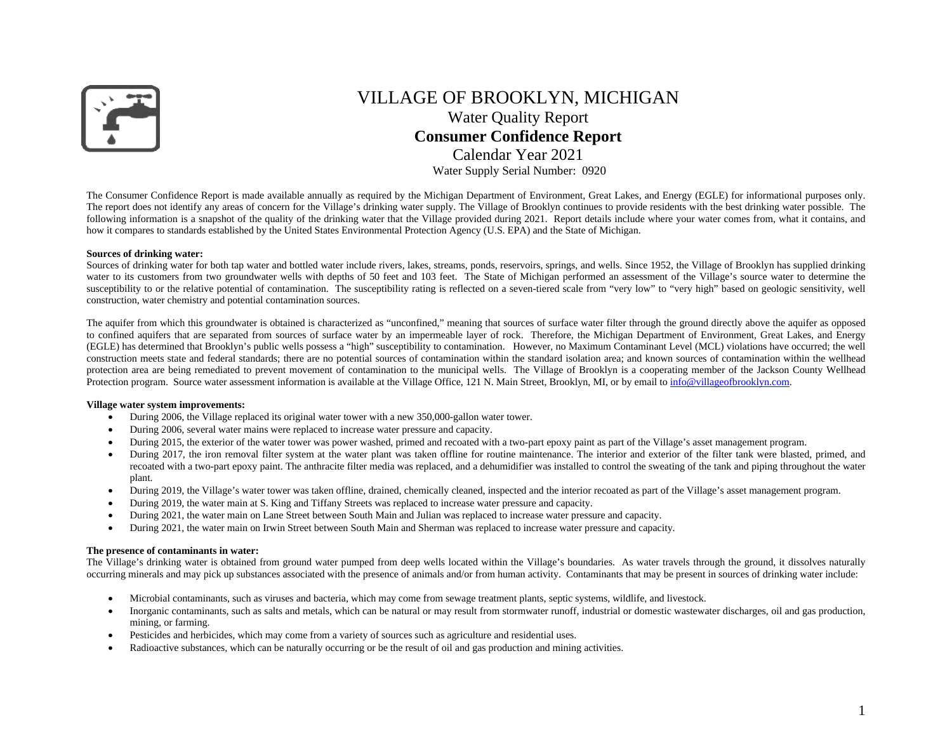

# VILLAGE OF BROOKLYN, MICHIGAN Water Quality Report **Consumer Confidence Report**  Calendar Year 2021Water Supply Serial Number: 0920

The Consumer Confidence Report is made available annually as required by the Michigan Department of Environment, Great Lakes, and Energy (EGLE) for informational purposes only. The report does not identify any areas of concern for the Village's drinking water supply. The Village of Brooklyn continues to provide residents with the best drinking water possible. The following information is a snapshot of the quality of the drinking water that the Village provided during 2021. Report details include where your water comes from, what it contains, and how it compares to standards established by the United States Environmental Protection Agency (U.S. EPA) and the State of Michigan.

#### **Sources of drinking water:**

Sources of drinking water for both tap water and bottled water include rivers, lakes, streams, ponds, reservoirs, springs, and wells. Since 1952, the Village of Brooklyn has supplied drinking water to its customers from two groundwater wells with depths of 50 feet and 103 feet. The State of Michigan performed an assessment of the Village's source water to determine the susceptibility to or the relative potential of contamination. The susceptibility rating is reflected on a seven-tiered scale from "very low" to "very high" based on geologic sensitivity, well construction, water chemistry and potential contamination sources.

The aquifer from which this groundwater is obtained is characterized as "unconfined," meaning that sources of surface water filter through the ground directly above the aquifer as opposed to confined aquifers that are separated from sources of surface water by an impermeable layer of rock. Therefore, the Michigan Department of Environment, Great Lakes, and Energy (EGLE) has determined that Brooklyn's public wells possess a "high" susceptibility to contamination. However, no Maximum Contaminant Level (MCL) violations have occurred; the well construction meets state and federal standards; there are no potential sources of contamination within the standard isolation area; and known sources of contamination within the wellhead protection area are being remediated to prevent movement of contamination to the municipal wells. The Village of Brooklyn is a cooperating member of the Jackson County Wellhead Protection program. Source water assessment information is available at the Village Office, 121 N. Main Street, Brooklyn, MI, or by email to info@villageofbrooklyn.com.

#### **Village water system improvements:**

- $\bullet$ During 2006, the Village replaced its original water tower with a new 350,000-gallon water tower.
- $\bullet$ During 2006, several water mains were replaced to increase water pressure and capacity.
- $\bullet$ During 2015, the exterior of the water tower was power washed, primed and recoated with a two-part epoxy paint as part of the Village's asset management program.
- $\bullet$ During 2017, the iron removal filter system at the water plant was taken offline for routine maintenance. The interior and exterior of the filter tank were blasted, primed, and recoated with a two-part epoxy paint. The anthracite filter media was replaced, and a dehumidifier was installed to control the sweating of the tank and piping throughout the water plant.
- $\bullet$ During 2019, the Village's water tower was taken offline, drained, chemically cleaned, inspected and the interior recoated as part of the Village's asset management program.
- $\bullet$ During 2019, the water main at S. King and Tiffany Streets was replaced to increase water pressure and capacity.
- $\bullet$ During 2021, the water main on Lane Street between South Main and Julian was replaced to increase water pressure and capacity.
- $\bullet$ During 2021, the water main on Irwin Street between South Main and Sherman was replaced to increase water pressure and capacity.

#### **The presence of contaminants in water:**

The Village's drinking water is obtained from ground water pumped from deep wells located within the Village's boundaries. As water travels through the ground, it dissolves naturally occurring minerals and may pick up substances associated with the presence of animals and/or from human activity. Contaminants that may be present in sources of drinking water include:

- $\bullet$ Microbial contaminants, such as viruses and bacteria, which may come from sewage treatment plants, septic systems, wildlife, and livestock.
- $\bullet$  Inorganic contaminants, such as salts and metals, which can be natural or may result from stormwater runoff, industrial or domestic wastewater discharges, oil and gas production, mining, or farming.
- $\bullet$ Pesticides and herbicides, which may come from a variety of sources such as agriculture and residential uses.
- . Radioactive substances, which can be naturally occurring or be the result of oil and gas production and mining activities.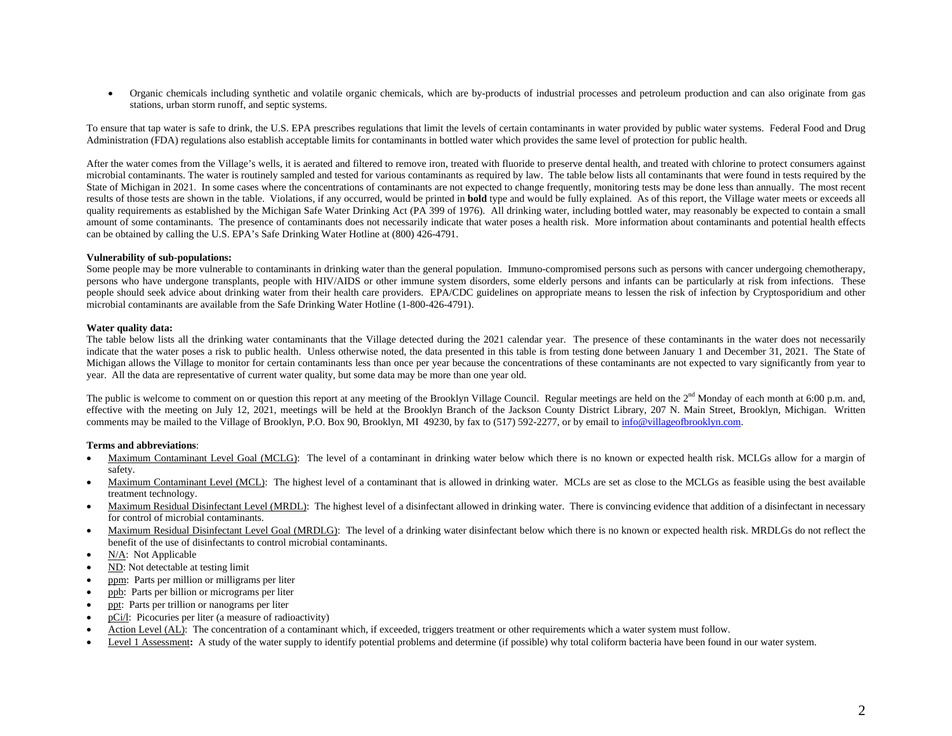$\bullet$  Organic chemicals including synthetic and volatile organic chemicals, which are by-products of industrial processes and petroleum production and can also originate from gas stations, urban storm runoff, and septic systems.

To ensure that tap water is safe to drink, the U.S. EPA prescribes regulations that limit the levels of certain contaminants in water provided by public water systems. Federal Food and Drug Administration (FDA) regulations also establish acceptable limits for contaminants in bottled water which provides the same level of protection for public health.

After the water comes from the Village's wells, it is aerated and filtered to remove iron, treated with fluoride to preserve dental health, and treated with chlorine to protect consumers against microbial contaminants. The water is routinely sampled and tested for various contaminants as required by law. The table below lists all contaminants that were found in tests required by the State of Michigan in 2021. In some cases where the concentrations of contaminants are not expected to change frequently, monitoring tests may be done less than annually. The most recent results of those tests are shown in the table. Violations, if any occurred, would be printed in **bold** type and would be fully explained. As of this report, the Village water meets or exceeds all quality requirements as established by the Michigan Safe Water Drinking Act (PA 399 of 1976). All drinking water, including bottled water, may reasonably be expected to contain a small amount of some contaminants. The presence of contaminants does not necessarily indicate that water poses a health risk. More information about contaminants and potential health effects can be obtained by calling the U.S. EPA's Safe Drinking Water Hotline at (800) 426-4791.

### **Vulnerability of sub-populations:**

Some people may be more vulnerable to contaminants in drinking water than the general population. Immuno-compromised persons such as persons with cancer undergoing chemotherapy, persons who have undergone transplants, people with HIV/AIDS or other immune system disorders, some elderly persons and infants can be particularly at risk from infections. These people should seek advice about drinking water from their health care providers. EPA/CDC guidelines on appropriate means to lessen the risk of infection by Cryptosporidium and other microbial contaminants are available from the Safe Drinking Water Hotline (1-800-426-4791).

#### **Water quality data:**

The table below lists all the drinking water contaminants that the Village detected during the 2021 calendar year. The presence of these contaminants in the water does not necessarily indicate that the water poses a risk to public health. Unless otherwise noted, the data presented in this table is from testing done between January 1 and December 31, 2021. The State of Michigan allows the Village to monitor for certain contaminants less than once per year because the concentrations of these contaminants are not expected to vary significantly from year to year. All the data are representative of current water quality, but some data may be more than one year old.

The public is welcome to comment on or question this report at any meeting of the Brooklyn Village Council. Regular meetings are held on the  $2<sup>nd</sup>$  Monday of each month at 6:00 p.m. and, effective with the meeting on July 12, 2021, meetings will be held at the Brooklyn Branch of the Jackson County District Library, 207 N. Main Street, Brooklyn, Michigan. Written comments may be mailed to the Village of Brooklyn, P.O. Box 90, Brooklyn, MI 49230, by fax to (517) 592-2277, or by email to info@villageofbrooklyn.com.

#### **Terms and abbreviations**:

- . Maximum Contaminant Level Goal (MCLG): The level of a contaminant in drinking water below which there is no known or expected health risk. MCLGs allow for a margin of safety.
- . Maximum Contaminant Level (MCL): The highest level of a contaminant that is allowed in drinking water. MCLs are set as close to the MCLGs as feasible using the best available treatment technology.
- . Maximum Residual Disinfectant Level (MRDL): The highest level of a disinfectant allowed in drinking water. There is convincing evidence that addition of a disinfectant in necessary for control of microbial contaminants.
- . Maximum Residual Disinfectant Level Goal (MRDLG): The level of a drinking water disinfectant below which there is no known or expected health risk. MRDLGs do not reflect the benefit of the use of disinfectants to control microbial contaminants.
- . N/A: Not Applicable
- . ND: Not detectable at testing limit
- . ppm: Parts per million or milligrams per liter
- . ppb: Parts per billion or micrograms per liter
- . ppt: Parts per trillion or nanograms per liter
- . pCi/l: Picocuries per liter (a measure of radioactivity)
- . Action Level (AL): The concentration of a contaminant which, if exceeded, triggers treatment or other requirements which a water system must follow.
- . Level 1 Assessment: A study of the water supply to identify potential problems and determine (if possible) why total coliform bacteria have been found in our water system.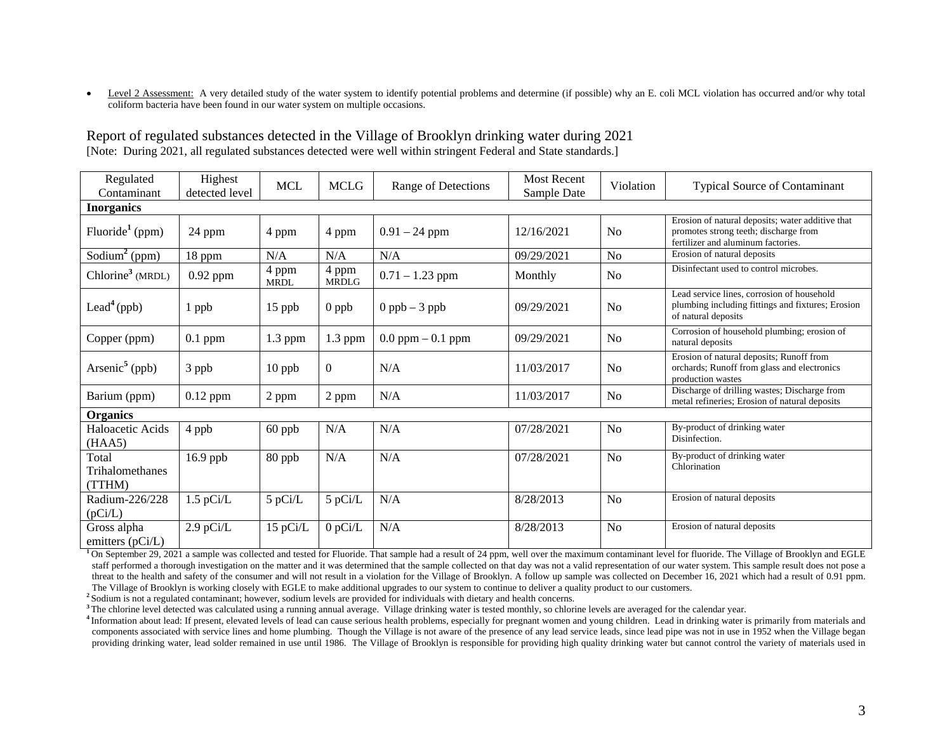$\bullet$ Level 2 Assessment: A very detailed study of the water system to identify potential problems and determine (if possible) why an E. coli MCL violation has occurred and/or why total coliform bacteria have been found in our water system on multiple occasions.

| Regulated<br>Contaminant           | Highest<br>detected level | <b>MCL</b>           | <b>MCLG</b>           | Range of Detections  | <b>Most Recent</b><br>Sample Date | Violation      | <b>Typical Source of Contaminant</b>                                                                                            |  |
|------------------------------------|---------------------------|----------------------|-----------------------|----------------------|-----------------------------------|----------------|---------------------------------------------------------------------------------------------------------------------------------|--|
| <b>Inorganics</b>                  |                           |                      |                       |                      |                                   |                |                                                                                                                                 |  |
| Fluoride <sup>1</sup> (ppm)        | 24 ppm                    | 4 ppm                | 4 ppm                 | $0.91 - 24$ ppm      | 12/16/2021                        | N <sub>o</sub> | Erosion of natural deposits; water additive that<br>promotes strong teeth; discharge from<br>fertilizer and aluminum factories. |  |
| Sodium <sup>2</sup> (ppm)          | 18 ppm                    | N/A                  | N/A                   | N/A                  | 09/29/2021                        | No             | Erosion of natural deposits                                                                                                     |  |
| Chlorine <sup>3</sup> (MRDL)       | $0.92$ ppm                | 4 ppm<br><b>MRDL</b> | 4 ppm<br><b>MRDLG</b> | $0.71 - 1.23$ ppm    | Monthly                           | N <sub>0</sub> | Disinfectant used to control microbes.                                                                                          |  |
| Lead <sup>4</sup> (ppb)            | 1 ppb                     | $15$ ppb             | $0$ ppb               | $0$ ppb $-3$ ppb     | 09/29/2021                        | N <sub>o</sub> | Lead service lines, corrosion of household<br>plumbing including fittings and fixtures; Erosion<br>of natural deposits          |  |
| Copper (ppm)                       | $0.1$ ppm                 | $1.3$ ppm            | 1.3 ppm               | $0.0$ ppm $-0.1$ ppm | 09/29/2021                        | No             | Corrosion of household plumbing; erosion of<br>natural deposits                                                                 |  |
| Arsenic <sup>5</sup> (ppb)         | 3 ppb                     | 10 ppb               | $\Omega$              | N/A                  | 11/03/2017                        | N <sub>0</sub> | Erosion of natural deposits; Runoff from<br>orchards; Runoff from glass and electronics<br>production wastes                    |  |
| Barium (ppm)                       | $0.12$ ppm                | 2 ppm                | 2 ppm                 | N/A                  | 11/03/2017                        | No             | Discharge of drilling wastes; Discharge from<br>metal refineries; Erosion of natural deposits                                   |  |
| <b>Organics</b>                    |                           |                      |                       |                      |                                   |                |                                                                                                                                 |  |
| Haloacetic Acids<br>(HAA5)         | 4 ppb                     | 60 ppb               | N/A                   | N/A                  | 07/28/2021                        | N <sub>o</sub> | By-product of drinking water<br>Disinfection.                                                                                   |  |
| Total<br>Trihalomethanes<br>(TTHM) | 16.9 ppb                  | 80 ppb               | N/A                   | N/A                  | 07/28/2021                        | N <sub>o</sub> | By-product of drinking water<br>Chlorination                                                                                    |  |
| Radium-226/228<br>(pCi/L)          | $1.5$ pCi/L               | 5 pCi/L              | 5 pCi/L               | N/A                  | 8/28/2013                         | N <sub>o</sub> | Erosion of natural deposits                                                                                                     |  |
| Gross alpha<br>emitters (pCi/L)    | $2.9$ pCi/L               | 15 pCi/L             | $0$ pCi/L             | N/A                  | 8/28/2013                         | N <sub>o</sub> | Erosion of natural deposits                                                                                                     |  |

Report of regulated substances detected in the Village of Brooklyn drinking water during 2021 [Note: During 2021, all regulated substances detected were well within stringent Federal and State standards.]

<sup>1</sup>On September 29, 2021 a sample was collected and tested for Fluoride. That sample had a result of 24 ppm, well over the maximum contaminant level for fluoride. The Village of Brooklyn and EGLE staff performed a thorough investigation on the matter and it was determined that the sample collected on that day was not a valid representation of our water system. This sample result does not pose a threat to the health and safety of the consumer and will not result in a violation for the Village of Brooklyn. A follow up sample was collected on December 16, 2021 which had a result of 0.91 ppm. The Village of Brooklyn is working closely with EGLE to make additional upgrades to our system to continue to deliver a quality product to our customers.

**2** Sodium is not a regulated contaminant; however, sodium levels are provided for individuals with dietary and health concerns.

<sup>3</sup>The chlorine level detected was calculated using a running annual average. Village drinking water is tested monthly, so chlorine levels are averaged for the calendar year.

<sup>4</sup> Information about lead: If present, elevated levels of lead can cause serious health problems, especially for pregnant women and young children. Lead in drinking water is primarily from materials and components associated with service lines and home plumbing. Though the Village is not aware of the presence of any lead service leads, since lead pipe was not in use in 1952 when the Village began providing drinking water, lead solder remained in use until 1986. The Village of Brooklyn is responsible for providing high quality drinking water but cannot control the variety of materials used in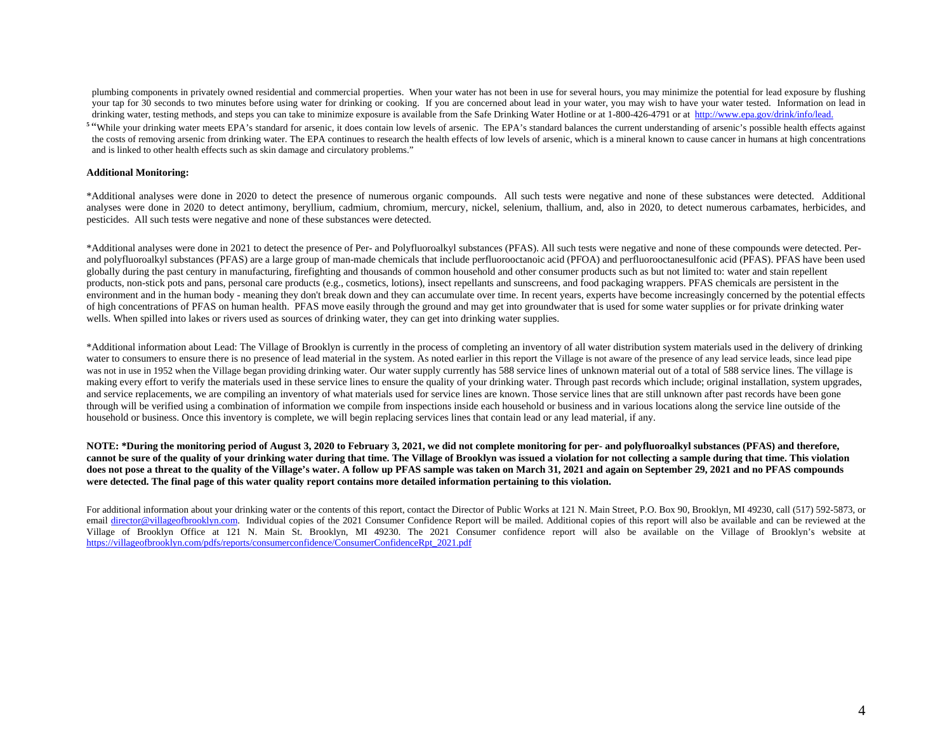plumbing components in privately owned residential and commercial properties. When your water has not been in use for several hours, you may minimize the potential for lead exposure by flushing your tap for 30 seconds to two minutes before using water for drinking or cooking. If you are concerned about lead in your water, you may wish to have your water tested. Information on lead in drinking water, testing methods, and steps you can take to minimize exposure is available from the Safe Drinking Water Hotline or at 1-800-426-4791 or at http://www.epa.gov/drink/info/lead.

<sup>5</sup> "While your drinking water meets EPA's standard for arsenic, it does contain low levels of arsenic. The EPA's standard balances the current understanding of arsenic's possible health effects against the costs of removing arsenic from drinking water. The EPA continues to research the health effects of low levels of arsenic, which is a mineral known to cause cancer in humans at high concentrations and is linked to other health effects such as skin damage and circulatory problems."

#### **Additional Monitoring:**

\*Additional analyses were done in 2020 to detect the presence of numerous organic compounds. All such tests were negative and none of these substances were detected. Additional analyses were done in 2020 to detect antimony, beryllium, cadmium, chromium, mercury, nickel, selenium, thallium, and, also in 2020, to detect numerous carbamates, herbicides, and pesticides. All such tests were negative and none of these substances were detected.

\*Additional analyses were done in 2021 to detect the presence of Per- and Polyfluoroalkyl substances (PFAS). All such tests were negative and none of these compounds were detected. Perand polyfluoroalkyl substances (PFAS) are a large group of man-made chemicals that include perfluorooctanoic acid (PFOA) and perfluorooctanesulfonic acid (PFAS). PFAS have been used globally during the past century in manufacturing, firefighting and thousands of common household and other consumer products such as but not limited to: water and stain repellent products, non-stick pots and pans, personal care products (e.g., cosmetics, lotions), insect repellants and sunscreens, and food packaging wrappers. PFAS chemicals are persistent in the environment and in the human body - meaning they don't break down and they can accumulate over time. In recent years, experts have become increasingly concerned by the potential effects of high concentrations of PFAS on human health. PFAS move easily through the ground and may get into groundwater that is used for some water supplies or for private drinking water wells. When spilled into lakes or rivers used as sources of drinking water, they can get into drinking water supplies.

\*Additional information about Lead: The Village of Brooklyn is currently in the process of completing an inventory of all water distribution system materials used in the delivery of drinking water to consumers to ensure there is no presence of lead material in the system. As noted earlier in this report the Village is not aware of the presence of any lead service leads, since lead pipe was not in use in 1952 when the Village began providing drinking water. Our water supply currently has 588 service lines of unknown material out of a total of 588 service lines. The village is making every effort to verify the materials used in these service lines to ensure the quality of your drinking water. Through past records which include; original installation, system upgrades, and service replacements, we are compiling an inventory of what materials used for service lines are known. Those service lines that are still unknown after past records have been gone through will be verified using a combination of information we compile from inspections inside each household or business and in various locations along the service line outside of the household or business. Once this inventory is complete, we will begin replacing services lines that contain lead or any lead material, if any.

**NOTE: \*During the monitoring period of August 3, 2020 to February 3, 2021, we did not complete monitoring for per- and polyfluoroalkyl substances (PFAS) and therefore, cannot be sure of the quality of your drinking water during that time. The Village of Brooklyn was issued a violation for not collecting a sample during that time. This violation**  does not pose a threat to the quality of the Village's water. A follow up PFAS sample was taken on March 31, 2021 and again on September 29, 2021 and no PFAS compounds **were detected. The final page of this water quality report contains more detailed information pertaining to this violation.**

For additional information about your drinking water or the contents of this report, contact the Director of Public Works at 121 N. Main Street, P.O. Box 90, Brooklyn, MI 49230, call (517) 592-5873, or email director@villageofbrooklyn.com. Individual copies of the 2021 Consumer Confidence Report will be mailed. Additional copies of this report will also be available and can be reviewed at the Village of Brooklyn Office at 121 N. Main St. Brooklyn, MI 49230. The 2021 Consumer confidence report will also be available on the Village of Brooklyn's website at https://villageofbrooklyn.com/pdfs/reports/consumerconfidence/ConsumerConfidenceRpt\_2021.pdf